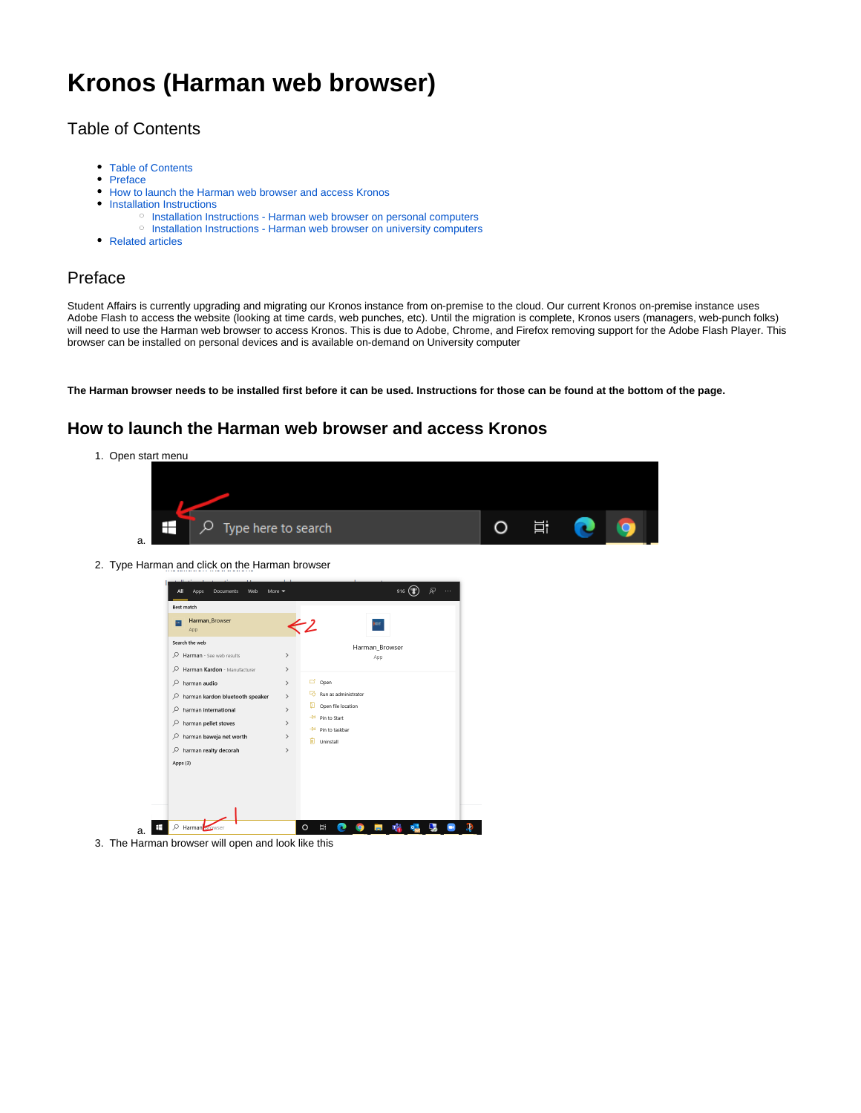# **Kronos (Harman web browser)**

# <span id="page-0-0"></span>Table of Contents

- [Table of Contents](#page-0-0)
- [Preface](#page-0-1)
- [How to launch the Harman web browser and access Kronos](#page-0-2)
- [Installation Instructions](#page-1-0)
	- <sup>o</sup> [Installation Instructions Harman web browser on personal computers](#page-1-1)
	- <sup>o</sup> [Installation Instructions Harman web browser on university computers](#page-3-0)
- [Related articles](#page-5-0)

### <span id="page-0-1"></span>Preface

Student Affairs is currently upgrading and migrating our Kronos instance from on-premise to the cloud. Our current Kronos on-premise instance uses Adobe Flash to access the website (looking at time cards, web punches, etc). Until the migration is complete, Kronos users (managers, web-punch folks) will need to use the Harman web browser to access Kronos. This is due to Adobe, Chrome, and Firefox removing support for the Adobe Flash Player. This browser can be installed on personal devices and is available on-demand on University computer

**The Harman browser needs to be installed first before it can be used. Instructions for those can be found at the bottom of the page.**

# <span id="page-0-2"></span>**How to launch the Harman web browser and access Kronos**

1. Open start menu



2. Type Harman and click on the Harman browser



3. The Harman browser will open and look like this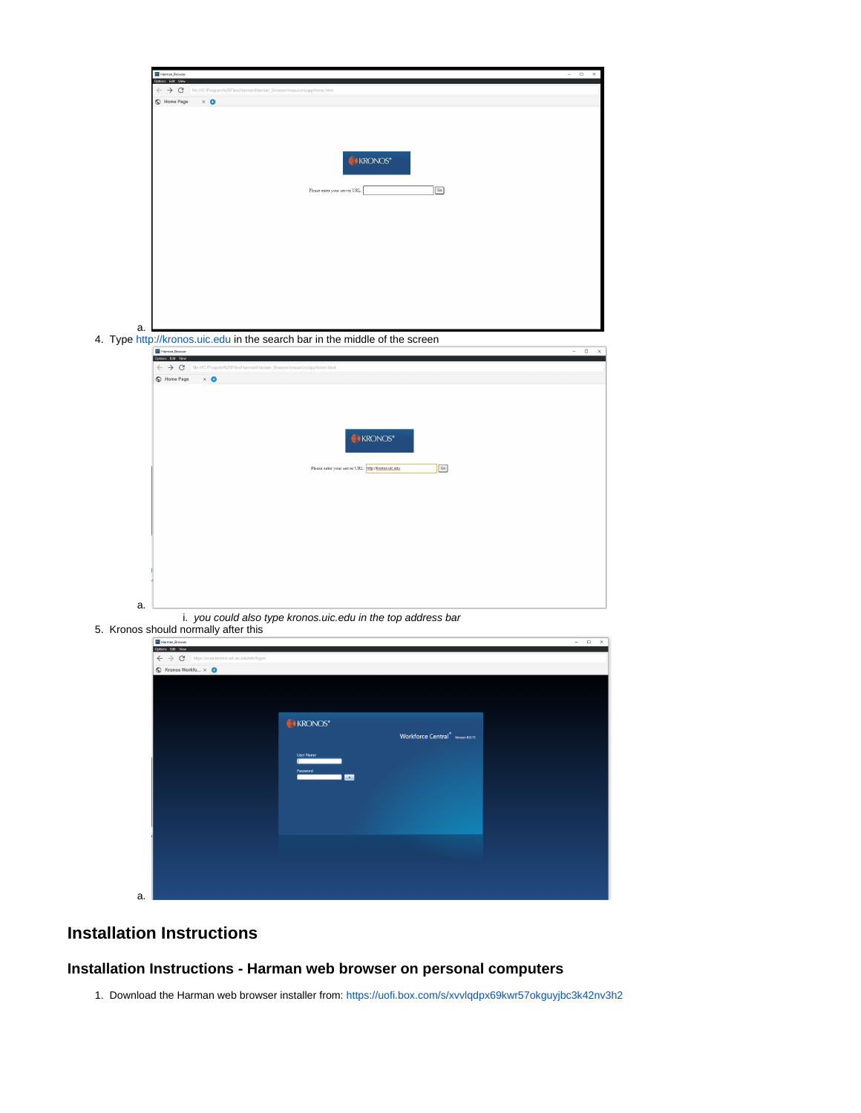

## <span id="page-1-0"></span>**Installation Instructions**

#### <span id="page-1-1"></span>**Installation Instructions - Harman web browser on personal computers**

1. Download the Harman web browser installer from:<https://uofi.box.com/s/xvvlqdpx69kwr57okguyjbc3k42nv3h2>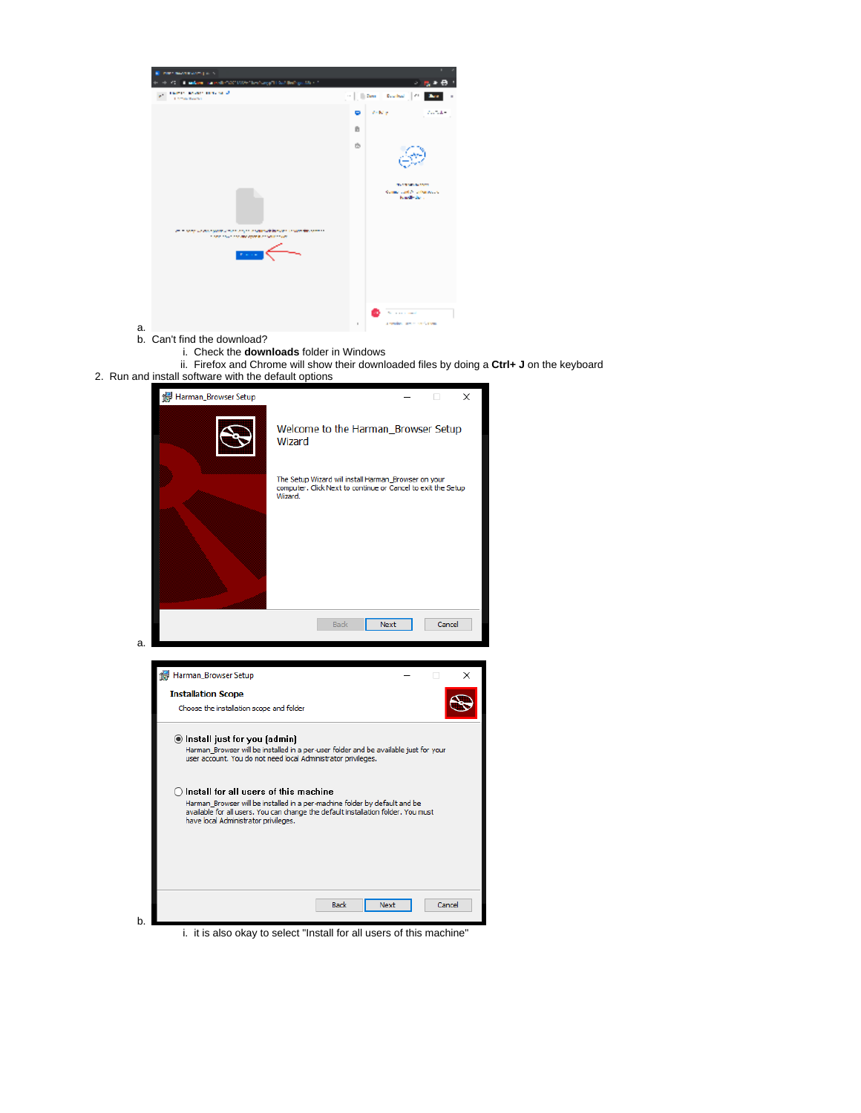

- b. Can't find the download?
	- i. Check the **downloads** folder in Windows
- ii. Firefox and Chrome will show their downloaded files by doing a **Ctrl+ J** on the keyboard
- 2. Run and install software with the default options

| Harman_Browser Setup                                                                                                                                                                                                                                        | ×<br>п                                                                                                                          |  |  |  |  |
|-------------------------------------------------------------------------------------------------------------------------------------------------------------------------------------------------------------------------------------------------------------|---------------------------------------------------------------------------------------------------------------------------------|--|--|--|--|
|                                                                                                                                                                                                                                                             | Welcome to the Harman Browser Setup<br>Wizard                                                                                   |  |  |  |  |
|                                                                                                                                                                                                                                                             | The Setup Wizard will install Harman_Browser on your<br>computer, Click Next to continue or Cancel to exit the Setup<br>Wizard. |  |  |  |  |
|                                                                                                                                                                                                                                                             |                                                                                                                                 |  |  |  |  |
|                                                                                                                                                                                                                                                             | <b>Back</b><br><b>Next</b><br>Cancel                                                                                            |  |  |  |  |
| a.                                                                                                                                                                                                                                                          |                                                                                                                                 |  |  |  |  |
| Harman_Browser Setup                                                                                                                                                                                                                                        | п<br>×                                                                                                                          |  |  |  |  |
| <b>Installation Scope</b>                                                                                                                                                                                                                                   |                                                                                                                                 |  |  |  |  |
| Choose the installation scope and folder                                                                                                                                                                                                                    |                                                                                                                                 |  |  |  |  |
| ◉ Install just for you (admin)<br>Harman_Browser will be installed in a per-user folder and be available just for your<br>user account. You do not need local Administrator privileges.                                                                     |                                                                                                                                 |  |  |  |  |
| $\bigcirc$ Install for all users of this machine<br>Harman Browser will be installed in a per-machine folder by default and be<br>available for all users. You can change the default installation folder. You must<br>have local Administrator privileges. |                                                                                                                                 |  |  |  |  |
|                                                                                                                                                                                                                                                             |                                                                                                                                 |  |  |  |  |
|                                                                                                                                                                                                                                                             |                                                                                                                                 |  |  |  |  |

i. it is also okay to select "Install for all users of this machine"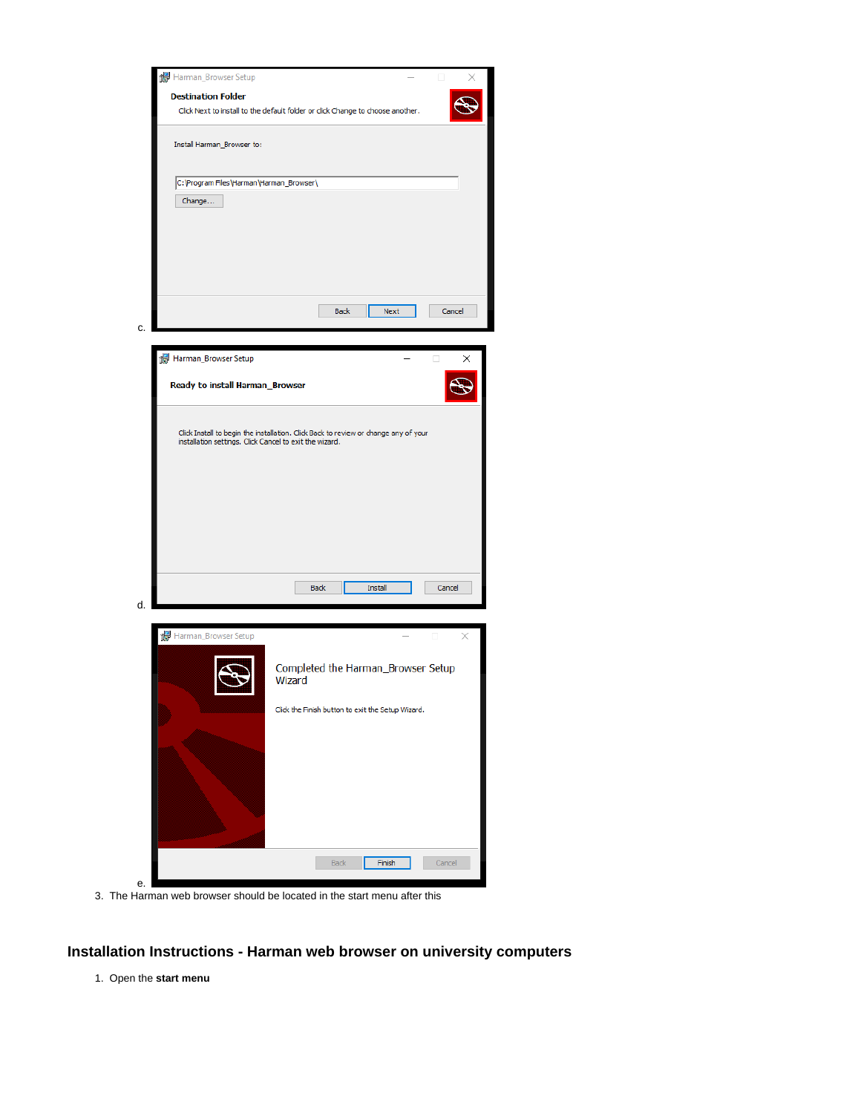

3. The Harman web browser should be located in the start menu after this

#### <span id="page-3-0"></span>**Installation Instructions - Harman web browser on university computers**

1. Open the **start menu**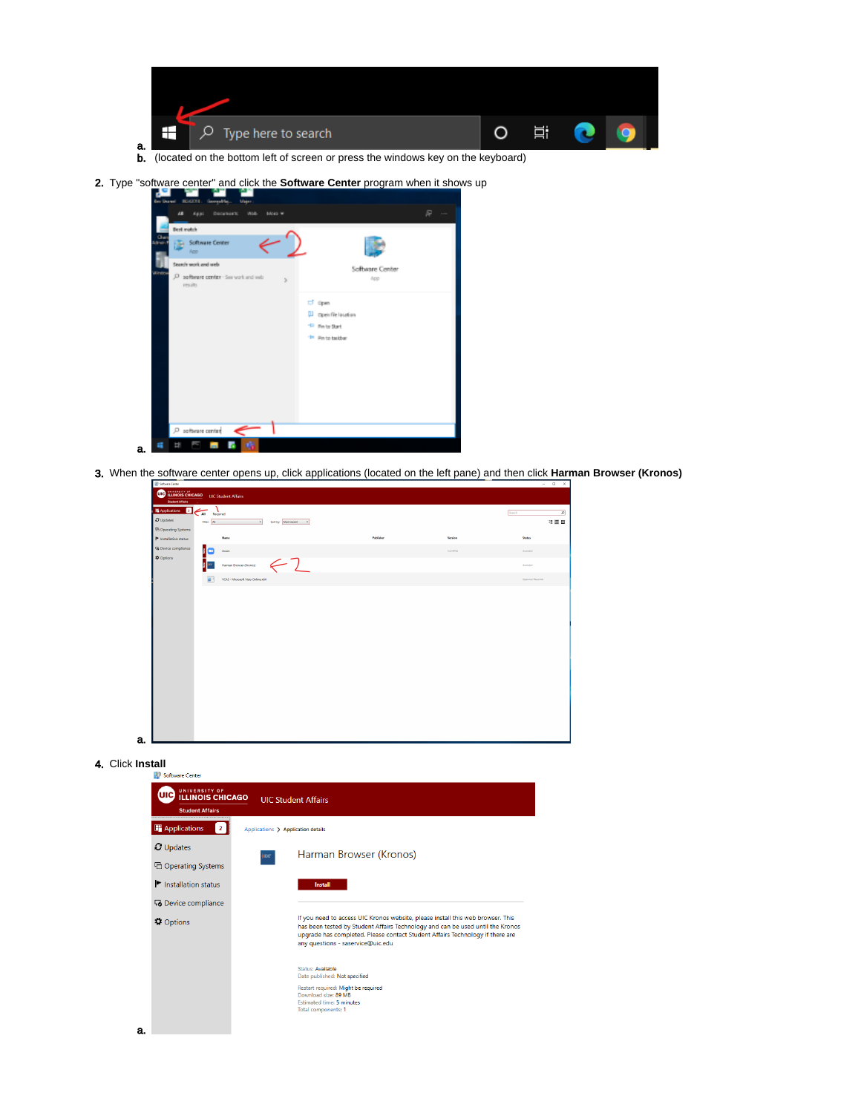

- b. (located on the bottom left of screen or press the windows key on the keyboard)
- 2. Type "software center" and click the **Software Center** program when it shows up



3. When the software center opens up, click applications (located on the left pane) and then click **Harman Browser (Kronos)**

| ■ Applications<br>ø<br>All                | Reguired                                      |           |          | Search            |
|-------------------------------------------|-----------------------------------------------|-----------|----------|-------------------|
| O Updates                                 | Rten All<br>Sort by Most recent - v<br>$\sim$ |           |          | 特臣田               |
| <sup>7</sup> Operating Systems            |                                               |           |          |                   |
| $\blacktriangleright$ Installation status | Name                                          | Publisher | Version  | Status            |
| Co Device compliance                      | łС<br>Zoom                                    |           | 54,59784 | Available         |
| <b>O</b> Options                          | $\leftarrow$ )<br>Harman Browser (Kronos)     |           |          | Available         |
|                                           | VCAS - Microsoft Visio Online x64<br>π        |           |          | Approval Required |
|                                           |                                               |           |          |                   |
|                                           |                                               |           |          |                   |
|                                           |                                               |           |          |                   |
|                                           |                                               |           |          |                   |

#### 4. Click **Install**

a.



 $\bigcap$